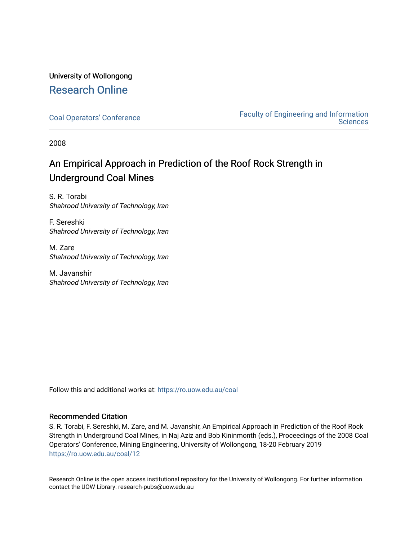### University of Wollongong [Research Online](https://ro.uow.edu.au/)

[Coal Operators' Conference](https://ro.uow.edu.au/coal) [Faculty of Engineering and Information](https://ro.uow.edu.au/eis)  **Sciences** 

2008

## An Empirical Approach in Prediction of the Roof Rock Strength in Underground Coal Mines

S. R. Torabi Shahrood University of Technology, Iran

F. Sereshki Shahrood University of Technology, Iran

M. Zare Shahrood University of Technology, Iran

M. Javanshir Shahrood University of Technology, Iran

Follow this and additional works at: [https://ro.uow.edu.au/coal](https://ro.uow.edu.au/coal?utm_source=ro.uow.edu.au%2Fcoal%2F12&utm_medium=PDF&utm_campaign=PDFCoverPages) 

#### Recommended Citation

S. R. Torabi, F. Sereshki, M. Zare, and M. Javanshir, An Empirical Approach in Prediction of the Roof Rock Strength in Underground Coal Mines, in Naj Aziz and Bob Kininmonth (eds.), Proceedings of the 2008 Coal Operators' Conference, Mining Engineering, University of Wollongong, 18-20 February 2019 [https://ro.uow.edu.au/coal/12](https://ro.uow.edu.au/coal/12?utm_source=ro.uow.edu.au%2Fcoal%2F12&utm_medium=PDF&utm_campaign=PDFCoverPages) 

Research Online is the open access institutional repository for the University of Wollongong. For further information contact the UOW Library: research-pubs@uow.edu.au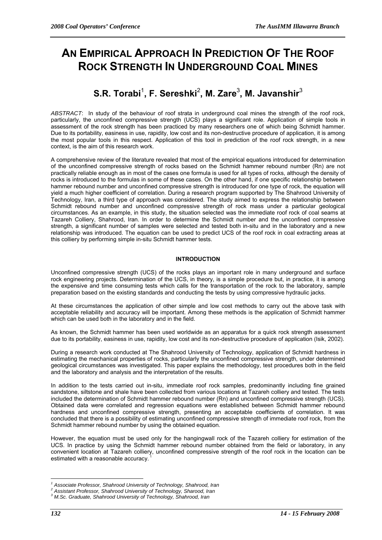# **AN EMPIRICAL APPROACH IN PREDICTION OF THE ROOF ROCK STRENGTH IN UNDERGROUND COAL MINES**

## $\mathbf{S}.\mathbf{R}.\ \mathbf{Torabi}^1,\ \mathsf{F}.\ \mathbf{Sereshki}^2,\ \mathsf{M}.\ \mathbf{Zare}^3,\ \mathsf{M}.\ \mathsf{Javanshir}^3$

*ABSTRACT*: In study of the behaviour of roof strata in underground coal mines the strength of the roof rock, particularly, the unconfined compressive strength (UCS) plays a significant role. Application of simple tools in assessment of the rock strength has been practiced by many researchers one of which being Schmidt hammer. Due to its portability, easiness in use, rapidity, low cost and its non-destructive procedure of application, it is among the most popular tools in this respect. Application of this tool in prediction of the roof rock strength, in a new context, is the aim of this research work.

A comprehensive review of the literature revealed that most of the empirical equations introduced for determination of the unconfined compressive strength of rocks based on the Schmidt hammer rebound number (Rn) are not practically reliable enough as in most of the cases one formula is used for all types of rocks, although the density of rocks is introduced to the formulas in some of these cases. On the other hand, if one specific relationship between hammer rebound number and unconfined compressive strength is introduced for one type of rock, the equation will yield a much higher coefficient of correlation. During a research program supported by The Shahrood University of Technology, Iran, a third type of approach was considered. The study aimed to express the relationship between Schmidt rebound number and unconfined compressive strength of rock mass under a particular geological circumstances. As an example, in this study, the situation selected was the immediate roof rock of coal seams at Tazareh Colliery, Shahrood, Iran. In order to determine the Schmidt number and the unconfined compressive strength, a significant number of samples were selected and tested both in-situ and in the laboratory and a new relationship was introduced. The equation can be used to predict UCS of the roof rock in coal extracting areas at this colliery by performing simple in-situ Schmidt hammer tests.

#### **INTRODUCTION**

Unconfined compressive strength (UCS) of the rocks plays an important role in many underground and surface rock engineering projects. Determination of the UCS, in theory, is a simple procedure but, in practice, it is among the expensive and time consuming tests which calls for the transportation of the rock to the laboratory, sample preparation based on the existing standards and conducting the tests by using compressive hydraulic jacks.

At these circumstances the application of other simple and low cost methods to carry out the above task with acceptable reliability and accuracy will be important. Among these methods is the application of Schmidt hammer which can be used both in the laboratory and in the field.

As known, the Schmidt hammer has been used worldwide as an apparatus for a quick rock strength assessment due to its portability, easiness in use, rapidity, low cost and its non-destructive procedure of application (Isik, 2002).

During a research work conducted at The Shahrood University of Technology, application of Schmidt hardness in estimating the mechanical properties of rocks, particularly the unconfined compressive strength, under determined geological circumstances was investigated. This paper explains the methodology, test procedures both in the field and the laboratory and analysis and the interpretation of the results.

In addition to the tests carried out in-situ, immediate roof rock samples, predominantly including fine grained sandstone, siltstone and shale have been collected from various locations at Tazareh colliery and tested. The tests included the determination of Schmidt hammer rebound number (Rn) and unconfined compressive strength (UCS). Obtained data were correlated and regression equations were established between Schmidt hammer rebound hardness and unconfined compressive strength, presenting an acceptable coefficients of correlation. It was concluded that there is a possibility of estimating unconfined compressive strength of immediate roof rock, from the Schmidt hammer rebound number by using the obtained equation.

However, the equation must be used only for the hangingwall rock of the Tazareh colliery for estimation of the UCS. In practice by using the Schmidt hammer rebound number obtained from the field or laboratory, in any convenient location at Tazareh colliery, unconfined compressive strength of the roof rock in the location can be estimated with a reasonable accuracy.

 $\overline{a}$ <sup>1</sup> Associate Professor, Shahrood University of Technology, Shahrood, Iran 2<br><sup>2</sup> Assistant Professor, Shahrood University of Technology, Sharood, Iran

*Assistant Professor, Shahrood University of Technology, Sharood, Iran 3*

*M.Sc. Graduate, Shahrood University of Technology, Shahrood, Iran*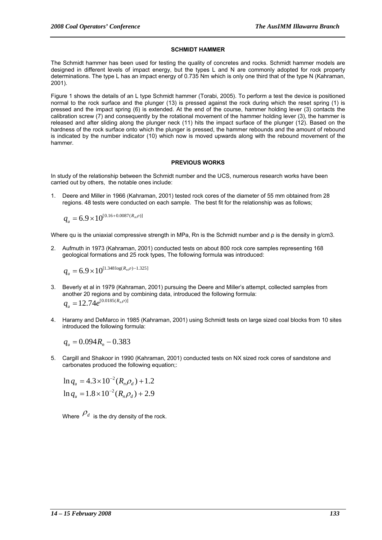#### **SCHMIDT HAMMER**

The Schmidt hammer has been used for testing the quality of concretes and rocks. Schmidt hammer models are designed in different levels of impact energy, but the types L and N are commonly adopted for rock property determinations. The type L has an impact energy of 0.735 Nm which is only one third that of the type N (Kahraman, 2001).

Figure 1 shows the details of an L type Schmidt hammer (Torabi, 2005). To perform a test the device is positioned normal to the rock surface and the plunger (13) is pressed against the rock during which the reset spring (1) is pressed and the impact spring (6) is extended. At the end of the course, hammer holding lever (3) contacts the calibration screw (7) and consequently by the rotational movement of the hammer holding lever (3), the hammer is released and after sliding along the plunger neck (11) hits the impact surface of the plunger (12). Based on the hardness of the rock surface onto which the plunger is pressed, the hammer rebounds and the amount of rebound is indicated by the number indicator (10) which now is moved upwards along with the rebound movement of the hammer.

#### **PREVIOUS WORKS**

In study of the relationship between the Schmidt number and the UCS, numerous research works have been carried out by others, the notable ones include:

1. Deere and Miller in 1966 (Kahraman, 2001) tested rock cores of the diameter of 55 mm obtained from 28 regions. 48 tests were conducted on each sample. The best fit for the relationship was as follows;

$$
q_u = 6.9 \times 10^{[0.16 + 0.0087(R_n \rho)]}
$$

Where qu is the uniaxial compressive strength in MPa, Rn is the Schmidt number and  $\rho$  is the density in g/cm3.

2. Aufmuth in 1973 (Kahraman, 2001) conducted tests on about 800 rock core samples representing 168 geological formations and 25 rock types, The following formula was introduced:

$$
q_u = 6.9 \times 10^{[1.348 \log(R_n \rho) - 1.325]}
$$

- 3. Beverly et al in 1979 (Kahraman, 2001) pursuing the Deere and Miller's attempt, collected samples from another 20 regions and by combining data, introduced the following formula:  $q_u = 12.74 e^{[0.0185(R_n \rho)]}$
- 4. Haramy and DeMarco in 1985 (Kahraman, 2001) using Schmidt tests on large sized coal blocks from 10 sites introduced the following formula:

$$
q_u = 0.094 R_n - 0.383
$$

5. Cargill and Shakoor in 1990 (Kahraman, 2001) conducted tests on NX sized rock cores of sandstone and carbonates produced the following equation;:

$$
\ln q_u = 4.3 \times 10^{-2} (R_n \rho_d) + 1.2
$$
  

$$
\ln q_u = 1.8 \times 10^{-2} (R_n \rho_d) + 2.9
$$

Where  $\rho_d$  is the dry density of the rock.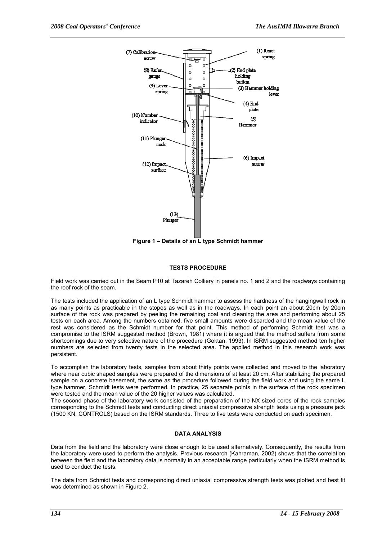

**Figure 1 – Details of an L type Schmidt hammer** 

#### **TESTS PROCEDURE**

Field work was carried out in the Seam P10 at Tazareh Colliery in panels no. 1 and 2 and the roadways containing the roof rock of the seam.

The tests included the application of an L type Schmidt hammer to assess the hardness of the hangingwall rock in as many points as practicable in the stopes as well as in the roadways. In each point an about 20cm by 20cm surface of the rock was prepared by peeling the remaining coal and cleaning the area and performing about 25 tests on each area. Among the numbers obtained, five small amounts were discarded and the mean value of the rest was considered as the Schmidt number for that point. This method of performing Schmidt test was a compromise to the ISRM suggested method (Brown, 1981) where it is argued that the method suffers from some shortcomings due to very selective nature of the procedure (Goktan, 1993). In ISRM suggested method ten higher numbers are selected from twenty tests in the selected area. The applied method in this research work was persistent.

To accomplish the laboratory tests, samples from about thirty points were collected and moved to the laboratory where near cubic shaped samples were prepared of the dimensions of at least 20 cm. After stabilizing the prepared sample on a concrete basement, the same as the procedure followed during the field work and using the same L type hammer, Schmidt tests were performed. In practice, 25 separate points in the surface of the rock specimen were tested and the mean value of the 20 higher values was calculated.

The second phase of the laboratory work consisted of the preparation of the NX sized cores of the rock samples corresponding to the Schmidt tests and conducting direct uniaxial compressive strength tests using a pressure jack (1500 KN, CONTROLS) based on the ISRM standards. Three to five tests were conducted on each specimen.

#### **DATA ANALYSIS**

Data from the field and the laboratory were close enough to be used alternatively. Consequently, the results from the laboratory were used to perform the analysis. Previous research (Kahraman, 2002) shows that the correlation between the field and the laboratory data is normally in an acceptable range particularly when the ISRM method is used to conduct the tests.

The data from Schmidt tests and corresponding direct uniaxial compressive strength tests was plotted and best fit was determined as shown in Figure 2.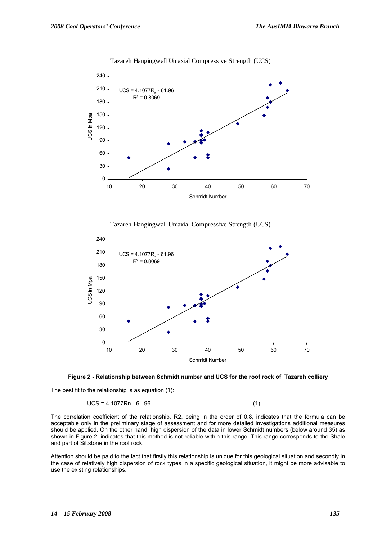

#### Tazareh Hangingwall Uniaxial Compressive Strength (UCS)







The best fit to the relationship is as equation (1):

#### $UCS = 4.1077Rn - 61.96$  (1)

The correlation coefficient of the relationship, R2, being in the order of 0.8, indicates that the formula can be acceptable only in the preliminary stage of assessment and for more detailed investigations additional measures should be applied. On the other hand, high dispersion of the data in lower Schmidt numbers (below around 35) as shown in Figure 2, indicates that this method is not reliable within this range. This range corresponds to the Shale and part of Siltstone in the roof rock.

Attention should be paid to the fact that firstly this relationship is unique for this geological situation and secondly in the case of relatively high dispersion of rock types in a specific geological situation, it might be more advisable to use the existing relationships.